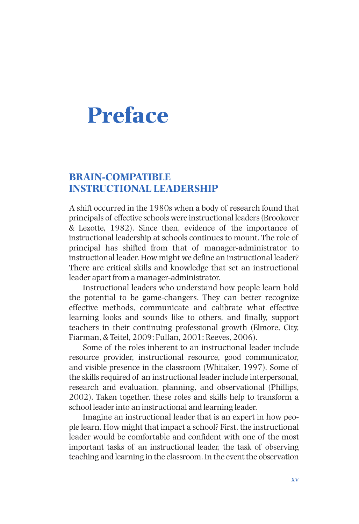# **Preface**

## **BRAIN-COMPATIBLE INSTRUCTIONAL LEADERSHIP**

A shift occurred in the 1980s when a body of research found that principals of effective schools were instructional leaders (Brookover & Lezotte, 1982). Since then, evidence of the importance of instructional leadership at schools continues to mount. The role of principal has shifted from that of manager-administrator to instructional leader. How might we define an instructional leader? There are critical skills and knowledge that set an instructional leader apart from a manager-administrator.

Instructional leaders who understand how people learn hold the potential to be game-changers. They can better recognize effective methods, communicate and calibrate what effective learning looks and sounds like to others, and finally, support teachers in their continuing professional growth (Elmore, City, Fiarman, & Teitel, 2009; Fullan, 2001; Reeves, 2006).

Some of the roles inherent to an instructional leader include resource provider, instructional resource, good communicator, and visible presence in the classroom (Whitaker, 1997). Some of the skills required of an instructional leader include interpersonal, research and evaluation, planning, and observational (Phillips, 2002). Taken together, these roles and skills help to transform a school leader into an instructional and learning leader.

Imagine an instructional leader that is an expert in how people learn. How might that impact a school? First, the instructional leader would be comfortable and confident with one of the most important tasks of an instructional leader, the task of observing teaching and learning in the classroom. In the event the observation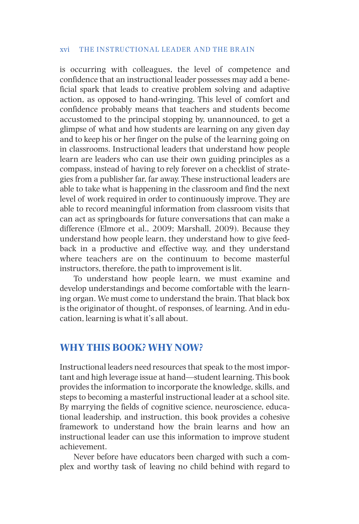#### xvi THE INSTRUCTIONAL LEADER AND THE BRAIN

is occurring with colleagues, the level of competence and confidence that an instructional leader possesses may add a beneficial spark that leads to creative problem solving and adaptive action, as opposed to hand-wringing. This level of comfort and confidence probably means that teachers and students become accustomed to the principal stopping by, unannounced, to get a glimpse of what and how students are learning on any given day and to keep his or her finger on the pulse of the learning going on in classrooms. Instructional leaders that understand how people learn are leaders who can use their own guiding principles as a compass, instead of having to rely forever on a checklist of strategies from a publisher far, far away. These instructional leaders are able to take what is happening in the classroom and find the next level of work required in order to continuously improve. They are able to record meaningful information from classroom visits that can act as springboards for future conversations that can make a difference (Elmore et al., 2009; Marshall, 2009). Because they understand how people learn, they understand how to give feedback in a productive and effective way, and they understand where teachers are on the continuum to become masterful instructors, therefore, the path to improvement is lit.

To understand how people learn, we must examine and develop understandings and become comfortable with the learning organ. We must come to understand the brain. That black box is the originator of thought, of responses, of learning. And in education, learning is what it's all about.

## **WHY THIS BOOK? WHY NOW?**

Instructional leaders need resources that speak to the most important and high leverage issue at hand—student learning. This book provides the information to incorporate the knowledge, skills, and steps to becoming a masterful instructional leader at a school site. By marrying the fields of cognitive science, neuroscience, educational leadership, and instruction, this book provides a cohesive framework to understand how the brain learns and how an instructional leader can use this information to improve student achievement.

Never before have educators been charged with such a complex and worthy task of leaving no child behind with regard to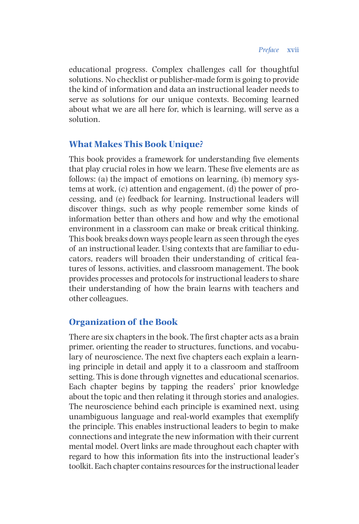educational progress. Complex challenges call for thoughtful solutions. No checklist or publisher-made form is going to provide the kind of information and data an instructional leader needs to serve as solutions for our unique contexts. Becoming learned about what we are all here for, which is learning, will serve as a solution.

### **What Makes This Book Unique?**

This book provides a framework for understanding five elements that play crucial roles in how we learn. These five elements are as follows: (a) the impact of emotions on learning, (b) memory systems at work, (c) attention and engagement, (d) the power of processing, and (e) feedback for learning. Instructional leaders will discover things, such as why people remember some kinds of information better than others and how and why the emotional environment in a classroom can make or break critical thinking. This book breaks down ways people learn as seen through the eyes of an instructional leader. Using contexts that are familiar to educators, readers will broaden their understanding of critical features of lessons, activities, and classroom management. The book provides processes and protocols for instructional leaders to share their understanding of how the brain learns with teachers and other colleagues.

#### **Organization of the Book**

There are six chapters in the book. The first chapter acts as a brain primer, orienting the reader to structures, functions, and vocabulary of neuroscience. The next five chapters each explain a learning principle in detail and apply it to a classroom and staffroom setting. This is done through vignettes and educational scenarios. Each chapter begins by tapping the readers' prior knowledge about the topic and then relating it through stories and analogies. The neuroscience behind each principle is examined next, using unambiguous language and real-world examples that exemplify the principle. This enables instructional leaders to begin to make connections and integrate the new information with their current mental model. Overt links are made throughout each chapter with regard to how this information fits into the instructional leader's toolkit. Each chapter contains resources for the instructional leader